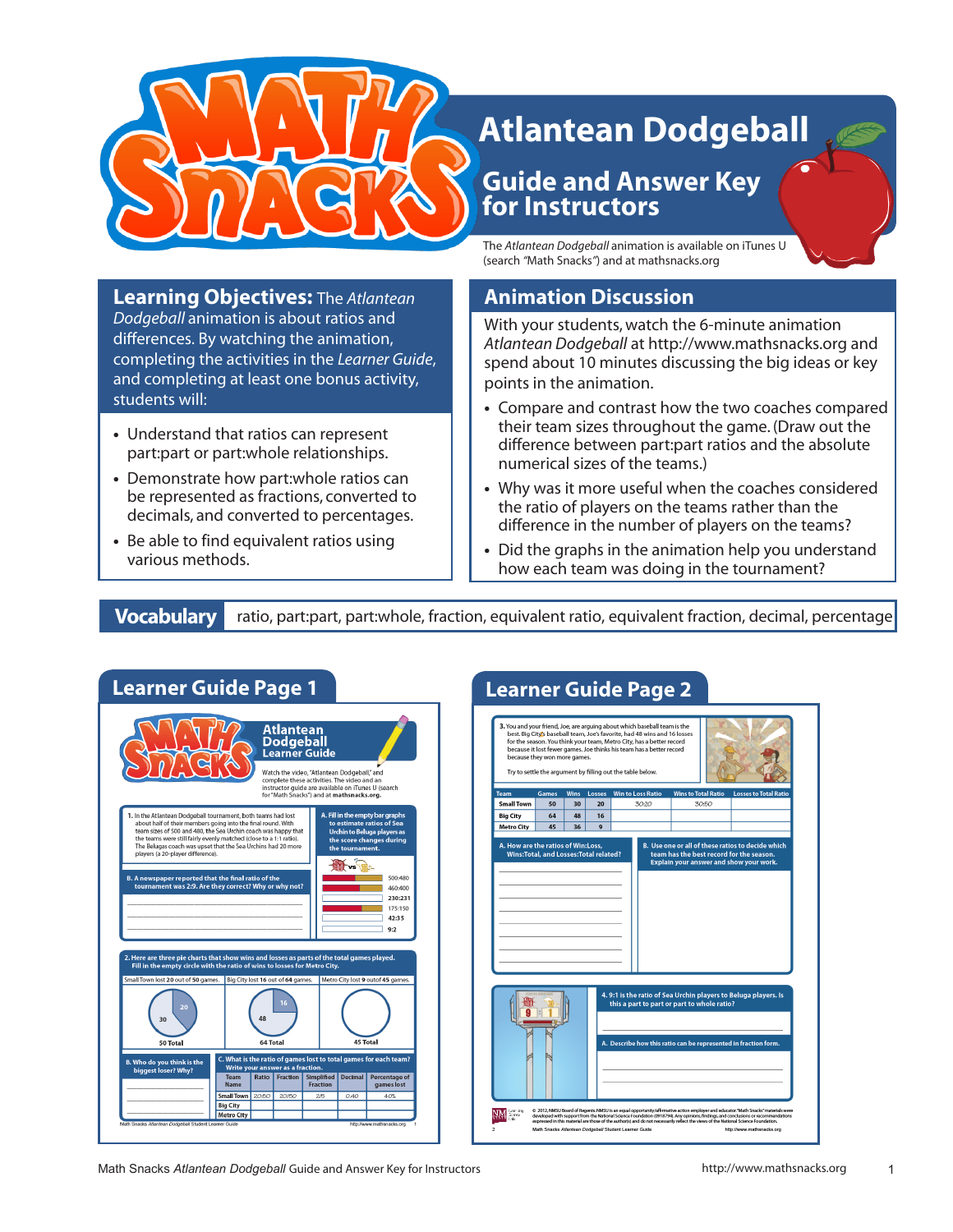

**Learning Objectives:** The *Atlantean Dodgeball* animation is about ratios and differences. By watching the animation, completing the activities in the *Learner Guide*, and completing at least one bonus activity,

**•** Understand that ratios can represent part:part or part:whole relationships. **•** Demonstrate how part:whole ratios can be represented as fractions, converted to decimals, and converted to percentages.

**•** Be able to find equivalent ratios using

# **Atlantean Dodgeball**

## **Guide and Answer Key for Instructors**

The *Atlantean Dodgeball* animation is available on iTunes U (search *"*Math Snacks*"*) and at mathsnacks.org

### **Animation Discussion**

With your students, watch the 6-minute animation *Atlantean Dodgeball* at http://www.mathsnacks.org and spend about 10 minutes discussing the big ideas or key points in the animation.

- **•** Compare and contrast how the two coaches compared their team sizes throughout the game. (Draw out the difference between part:part ratios and the absolute numerical sizes of the teams.)
- **•** Why was it more useful when the coaches considered the ratio of players on the teams rather than the difference in the number of players on the teams?
- **•** Did the graphs in the animation help you understand how each team was doing in the tournament?

various methods.

students will:

**Vocabulary** ratio, part:part, part:whole, fraction, equivalent ratio, equivalent fraction, decimal, percentage



Math Snacks Atlantean Dodgeball Guide and Answer Key for Instructors http://www.mathsnacks.org 1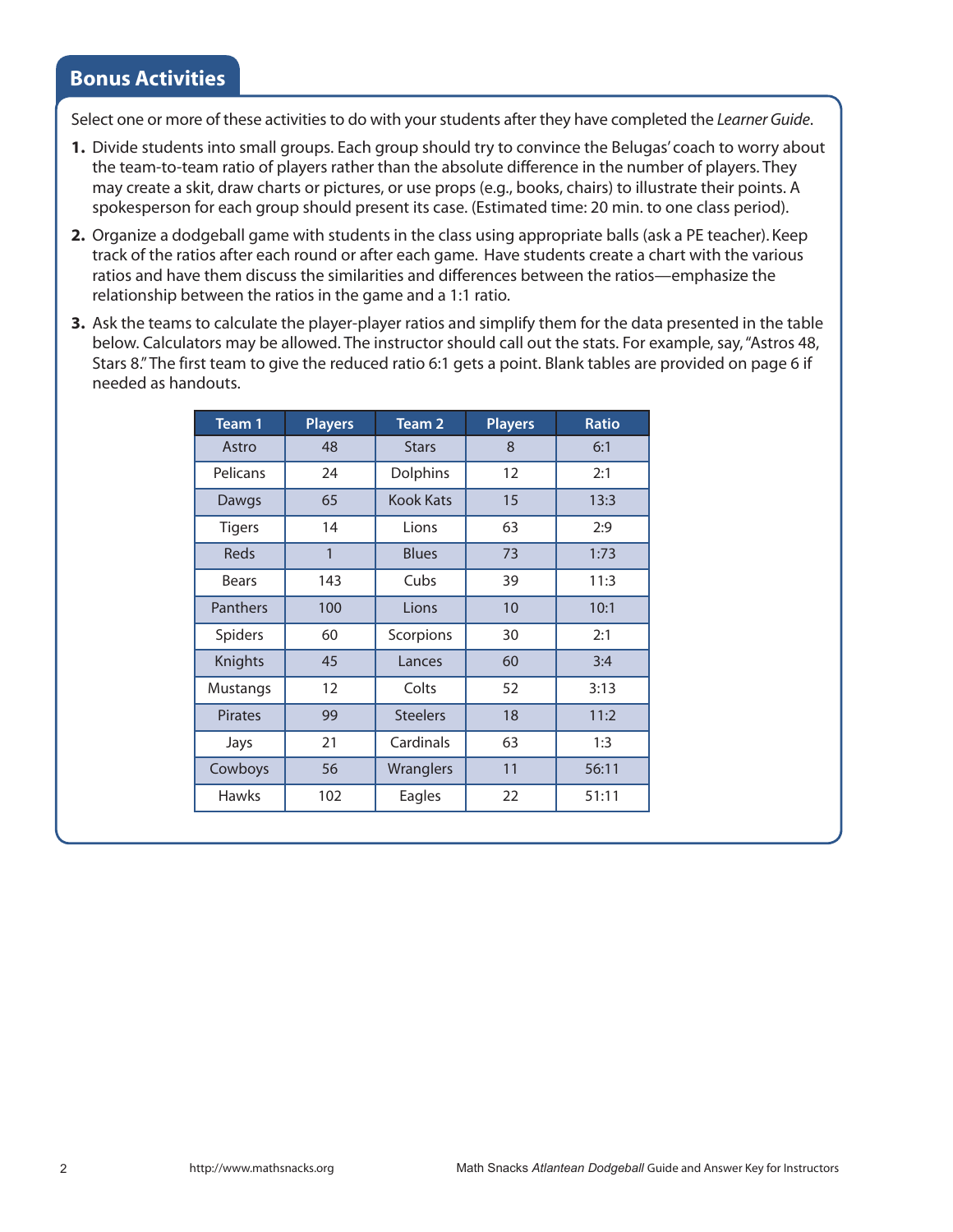#### **Bonus Activities**

Select one or more of these activities to do with your students after they have completed the *Learner Guide*.

- **1.** Divide students into small groups. Each group should try to convince the Belugas' coach to worry about the team-to-team ratio of players rather than the absolute difference in the number of players. They may create a skit, draw charts or pictures, or use props (e.g., books, chairs) to illustrate their points. A spokesperson for each group should present its case. (Estimated time: 20 min. to one class period).
- **2.** Organize a dodgeball game with students in the class using appropriate balls (ask a PE teacher). Keep track of the ratios after each round or after each game. Have students create a chart with the various ratios and have them discuss the similarities and differences between the ratios—emphasize the relationship between the ratios in the game and a 1:1 ratio.
- **3.** Ask the teams to calculate the player-player ratios and simplify them for the data presented in the table below. Calculators may be allowed. The instructor should call out the stats. For example, say, "Astros 48, Stars 8." The first team to give the reduced ratio 6:1 gets a point. Blank tables are provided on page 6 if needed as handouts.

| Team 1         | <b>Players</b> | Team <sub>2</sub> | <b>Players</b> | <b>Ratio</b> |
|----------------|----------------|-------------------|----------------|--------------|
| Astro          | 48             | <b>Stars</b>      | 8              | 6:1          |
| Pelicans       | 24             | <b>Dolphins</b>   | 12             | 2:1          |
| Dawgs          | 65             | <b>Kook Kats</b>  | 15             | 13:3         |
| <b>Tigers</b>  | 14             | Lions             | 63             | 2:9          |
| <b>Reds</b>    | 1              | <b>Blues</b>      | 73             | 1:73         |
| <b>Bears</b>   | 143            | Cubs              | 39             | 11:3         |
| Panthers       | 100            | Lions             | 10             | 10:1         |
| <b>Spiders</b> | 60             | Scorpions         | 30             | 2:1          |
| Knights        | 45             | Lances            | 60             | 3:4          |
| Mustangs       | 12             | Colts             | 52             | 3:13         |
| <b>Pirates</b> | 99             | <b>Steelers</b>   | 18             | 11:2         |
| Jays           | 21             | Cardinals         | 63             | 1:3          |
| Cowboys        | 56             | Wranglers         | 11             | 56:11        |
| <b>Hawks</b>   | 102            | Eagles            | 22             | 51:11        |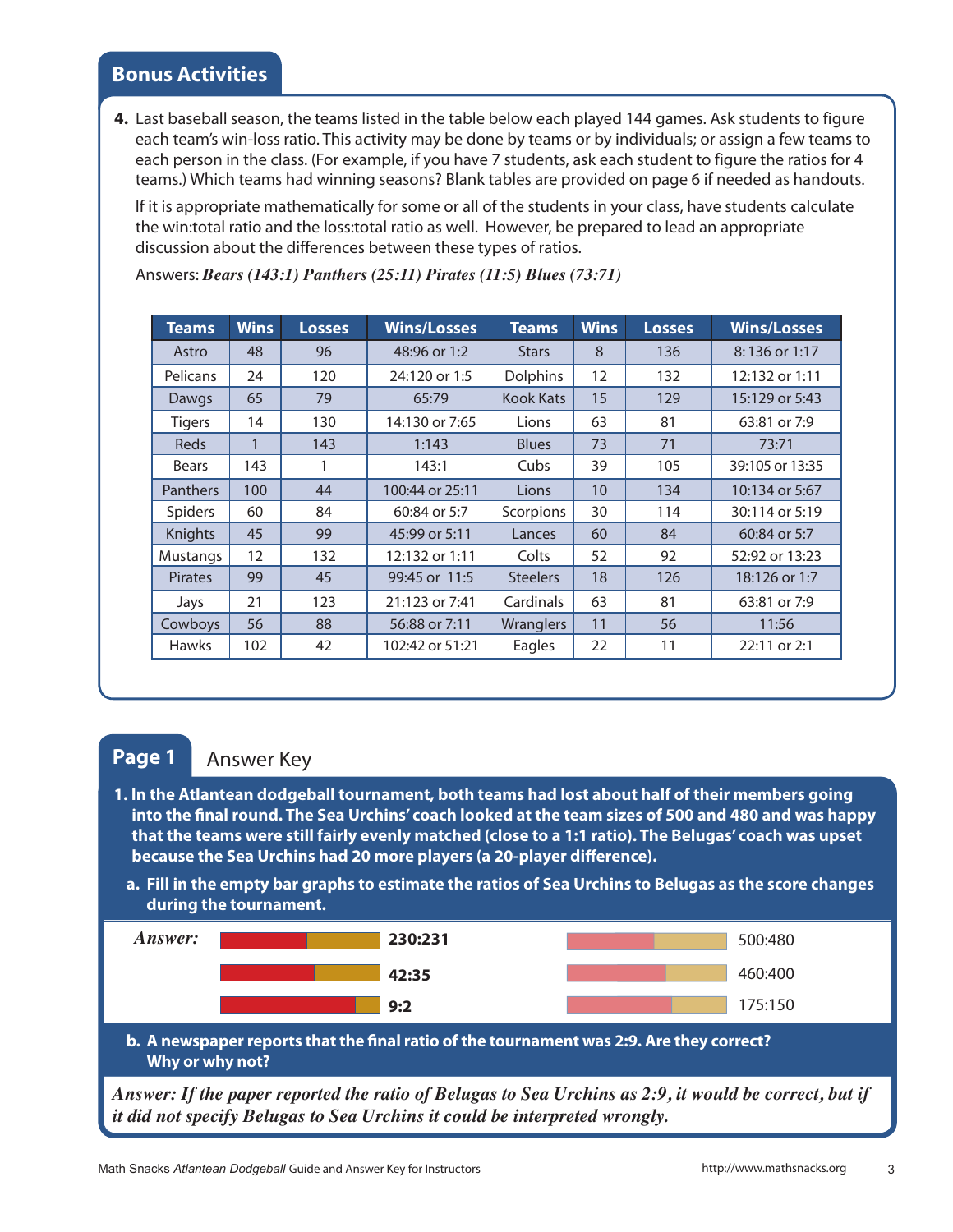**4.** Last baseball season, the teams listed in the table below each played 144 games. Ask students to figure each team's win-loss ratio. This activity may be done by teams or by individuals; or assign a few teams to each person in the class. (For example, if you have 7 students, ask each student to figure the ratios for 4 teams.) Which teams had winning seasons? Blank tables are provided on page 6 if needed as handouts.

If it is appropriate mathematically for some or all of the students in your class, have students calculate the win:total ratio and the loss:total ratio as well. However, be prepared to lead an appropriate discussion about the differences between these types of ratios.

| <b>Teams</b>    | <b>Wins</b> | <b>Losses</b> | <b>Wins/Losses</b> | <b>Teams</b>     | <b>Wins</b> | <b>Losses</b> | <b>Wins/Losses</b> |
|-----------------|-------------|---------------|--------------------|------------------|-------------|---------------|--------------------|
| Astro           | 48          | 96            | 48:96 or 1:2       | <b>Stars</b>     | 8           | 136           | 8:136 or 1:17      |
| <b>Pelicans</b> | 24          | 120           | 24:120 or 1:5      | <b>Dolphins</b>  | 12          | 132           | 12:132 or 1:11     |
| <b>Dawgs</b>    | 65          | 79            | 65:79              | <b>Kook Kats</b> | 15          | 129           | 15:129 or 5:43     |
| <b>Tigers</b>   | 14          | 130           | 14:130 or 7:65     | Lions            | 63          | 81            | 63:81 or 7:9       |
| <b>Reds</b>     | 1           | 143           | 1:143              | <b>Blues</b>     | 73          | 71            | 73:71              |
| <b>Bears</b>    | 143         |               | 143:1              | Cubs             | 39          | 105           | 39:105 or 13:35    |
| <b>Panthers</b> | 100         | 44            | 100:44 or 25:11    | Lions            | 10          | 134           | 10:134 or 5:67     |
| Spiders         | 60          | 84            | 60:84 or 5:7       | Scorpions        | 30          | 114           | 30:114 or 5:19     |
| Knights         | 45          | 99            | 45:99 or 5:11      | Lances           | 60          | 84            | 60:84 or 5:7       |
| Mustangs        | 12          | 132           | 12:132 or 1:11     | Colts            | 52          | 92            | 52:92 or 13:23     |
| <b>Pirates</b>  | 99          | 45            | 99:45 or 11:5      | <b>Steelers</b>  | 18          | 126           | 18:126 or 1:7      |
| Jays            | 21          | 123           | 21:123 or 7:41     | Cardinals        | 63          | 81            | 63:81 or 7:9       |
| Cowboys         | 56          | 88            | 56:88 or 7:11      | Wranglers        | 11          | 56            | 11:56              |
| <b>Hawks</b>    | 102         | 42            | 102:42 or 51:21    | Eagles           | 22          | 11            | 22:11 or 2:1       |

Answers: *Bears (143:1) Panthers (25:11) Pirates (11:5) Blues (73:71)*

#### **Page 1**

#### Answer Key

- **1. In the Atlantean dodgeball tournament, both teams had lost about half of their members going into the final round. The Sea Urchins' coach looked at the team sizes of 500 and 480 and was happy that the teams were still fairly evenly matched (close to a 1:1 ratio). The Belugas' coach was upset because the Sea Urchins had 20 more players (a 20-player difference).**
	- **a. Fill in the empty bar graphs to estimate the ratios of Sea Urchins to Belugas as the score changes during the tournament.**



**Why or why not?**

*Answer: If the paper reported the ratio of Belugas to Sea Urchins as 2:9, it would be correct, but if it did not specify Belugas to Sea Urchins it could be interpreted wrongly.*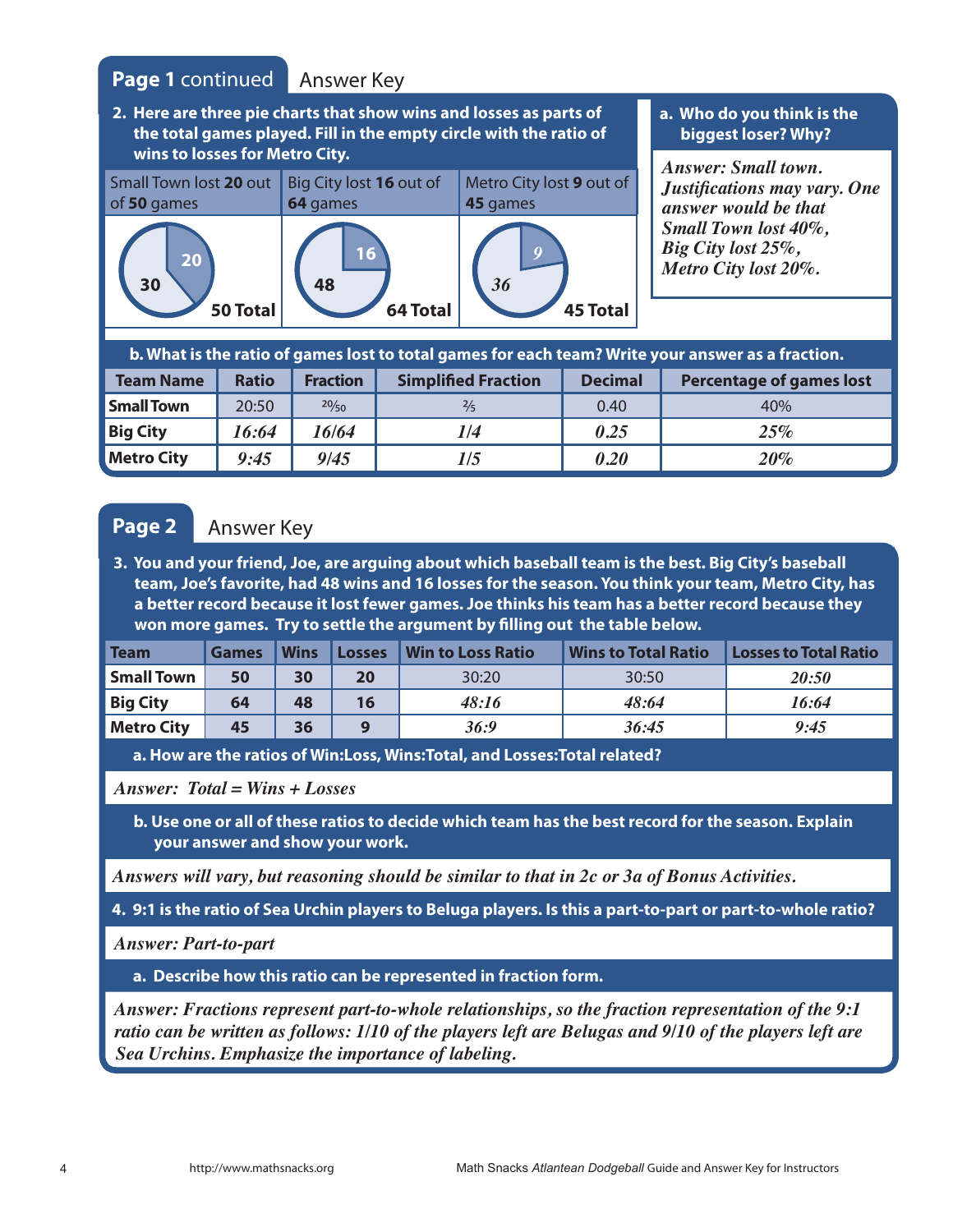### **Page 1** continued Answer Key

**2. Here are three pie charts that show wins and losses as parts of the total games played. Fill in the empty circle with the ratio of wins to losses for Metro City.**



#### **a. Who do you think is the biggest loser? Why?**

*Answer: Small town. Justifications may vary. One answer would be that Small Town lost 40%, Big City lost 25%, Metro City lost 20%.* 

|                   |              |                 |                            |                | b. What is the ratio of games lost to total games for each team? Write your answer as a fraction. |
|-------------------|--------------|-----------------|----------------------------|----------------|---------------------------------------------------------------------------------------------------|
| <b>Team Name</b>  | <b>Ratio</b> | <b>Fraction</b> | <b>Simplified Fraction</b> | <b>Decimal</b> | <b>Percentage of games lost</b>                                                                   |
| <b>Small Town</b> | 20:50        | 20/50           | $\frac{2}{5}$              | 0.40           | 40%                                                                                               |
| <b>Big City</b>   | 16:64        | 16/64           | 1/4                        | 0.25           | 25%                                                                                               |
| <b>Metro City</b> | 9:45         | 9/45            | 1/5                        | 0.20           | $20\%$                                                                                            |

#### Page 2 Answer Key

**3. You and your friend, Joe, are arguing about which baseball team is the best. Big City's baseball team, Joe's favorite, had 48 wins and 16 losses for the season. You think your team, Metro City, has a better record because it lost fewer games. Joe thinks his team has a better record because they won more games. Try to settle the argument by filling out the table below.**

| <b>Team</b>       | <b>Games</b> | <b>Wins</b> | Losses | <b>Win to Loss Ratio</b> | <b>Wins to Total Ratio</b> | <b>Losses to Total Ratio</b> |
|-------------------|--------------|-------------|--------|--------------------------|----------------------------|------------------------------|
| <b>Small Town</b> | 50           | 30          | 20     | 30:20                    | 30:50                      | 20:50                        |
| <b>Big City</b>   | 64           | 48          | 16     | 48:16                    | 48:64                      | 16:64                        |
| <b>Metro City</b> | 45           | 36          |        | 36:9                     | 36:45                      | 9:45                         |

**a. How are the ratios of Win:Loss, Wins:Total, and Losses:Total related?** 

*Answer: Total = Wins + Losses*

**b. Use one or all of these ratios to decide which team has the best record for the season. Explain your answer and show your work.**

*Answers will vary, but reasoning should be similar to that in 2c or 3a of Bonus Activities.*

**4. 9:1 is the ratio of Sea Urchin players to Beluga players. Is this a part-to-part or part-to-whole ratio?**

*Answer: Part-to-part*

**a. Describe how this ratio can be represented in fraction form.**

*Answer: Fractions represent part-to-whole relationships, so the fraction representation of the 9:1 ratio can be written as follows: 1/10 of the players left are Belugas and 9/10 of the players left are Sea Urchins. Emphasize the importance of labeling.*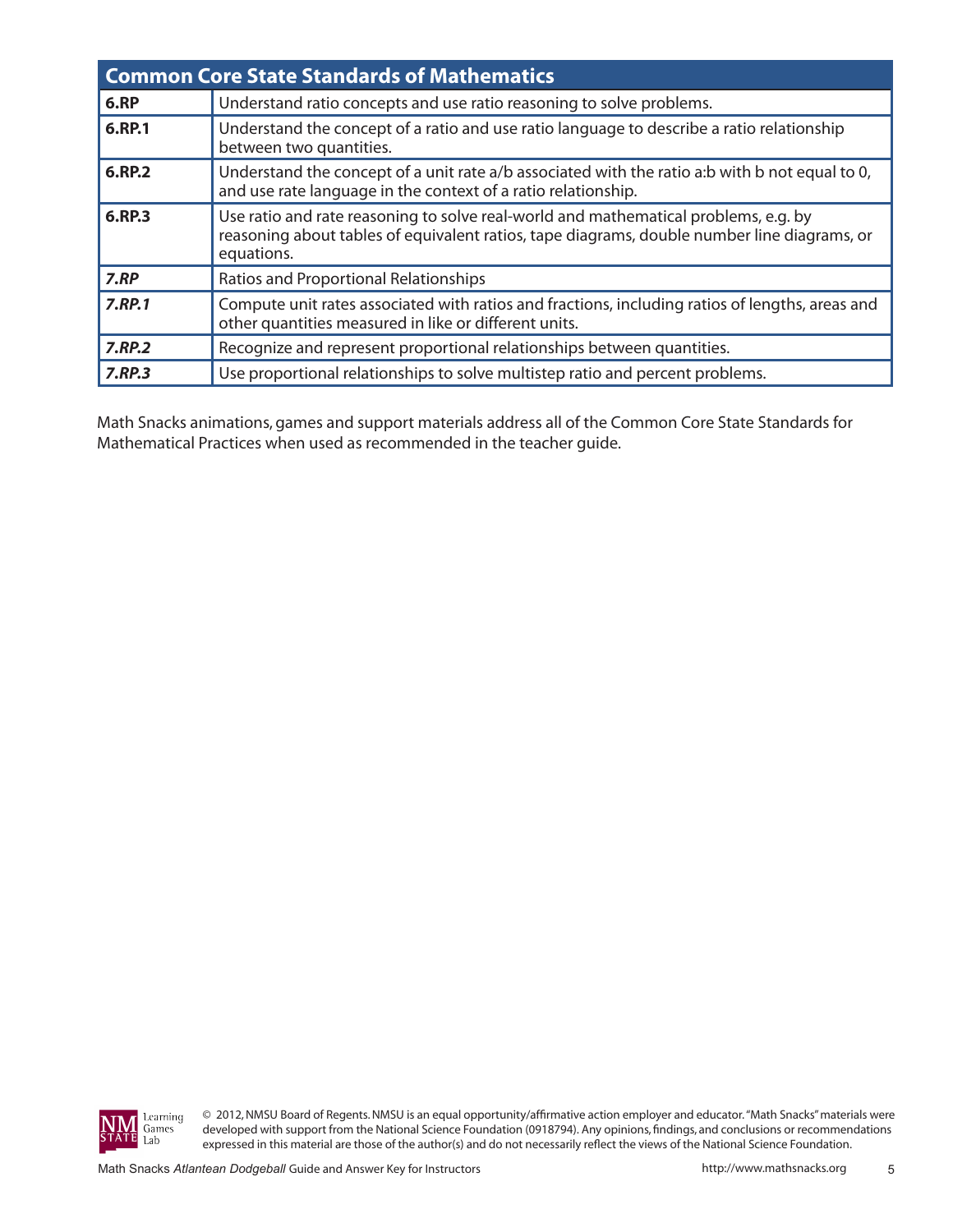|              | <b>Common Core State Standards of Mathematics</b>                                                                                                                                                |
|--------------|--------------------------------------------------------------------------------------------------------------------------------------------------------------------------------------------------|
| 6.RP         | Understand ratio concepts and use ratio reasoning to solve problems.                                                                                                                             |
| 6.RP.1       | Understand the concept of a ratio and use ratio language to describe a ratio relationship<br>between two quantities.                                                                             |
| 6.RP.2       | Understand the concept of a unit rate a/b associated with the ratio a:b with b not equal to 0,<br>and use rate language in the context of a ratio relationship.                                  |
| 6.RP.3       | Use ratio and rate reasoning to solve real-world and mathematical problems, e.g. by<br>reasoning about tables of equivalent ratios, tape diagrams, double number line diagrams, or<br>equations. |
| 7.RP         | Ratios and Proportional Relationships                                                                                                                                                            |
| 7.RP.1       | Compute unit rates associated with ratios and fractions, including ratios of lengths, areas and<br>other quantities measured in like or different units.                                         |
| $7.$ RP $.2$ | Recognize and represent proportional relationships between quantities.                                                                                                                           |
| 7.RP.3       | Use proportional relationships to solve multistep ratio and percent problems.                                                                                                                    |

Math Snacks animations, games and support materials address all of the Common Core State Standards for Mathematical Practices when used as recommended in the teacher guide.



© 2012, NMSU Board of Regents. NMSU is an equal opportunity/affirmative action employer and educator. "Math Snacks" materials were developed with support from the National Science Foundation (0918794). Any opinions, findings, and conclusions or recommendations expressed in this material are those of the author(s) and do not necessarily reflect the views of the National Science Foundation.